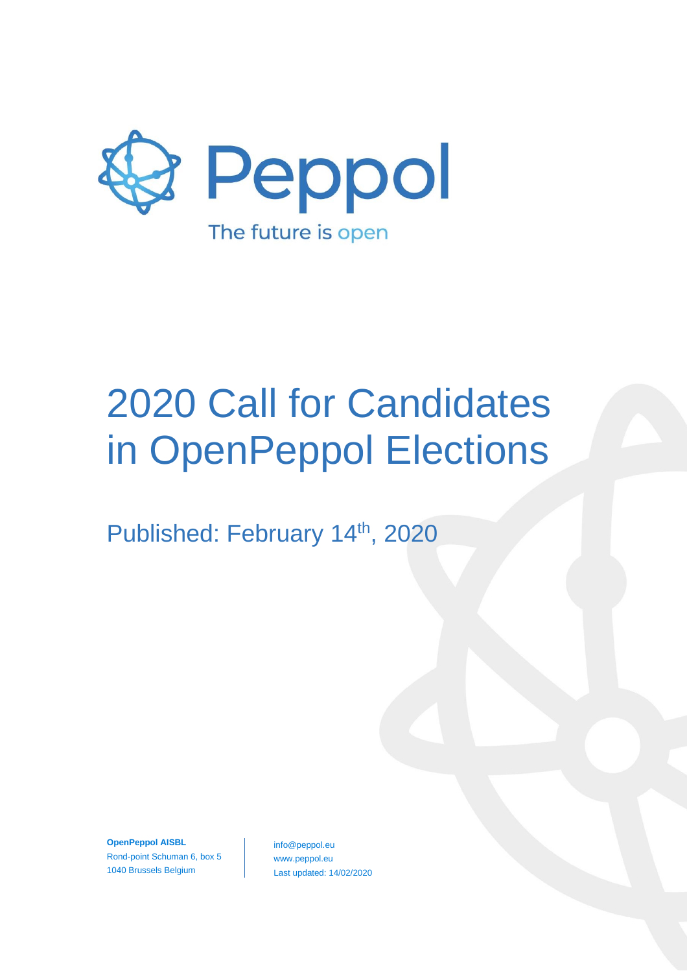

# 2020 Call for Candidates in OpenPeppol Elections

Published: February 14th, 2020

**OpenPeppol AISBL** Rond-point Schuman 6, box 5 1040 Brussels Belgium

info@peppol.eu www.peppol.eu Last updated: 14/02/2020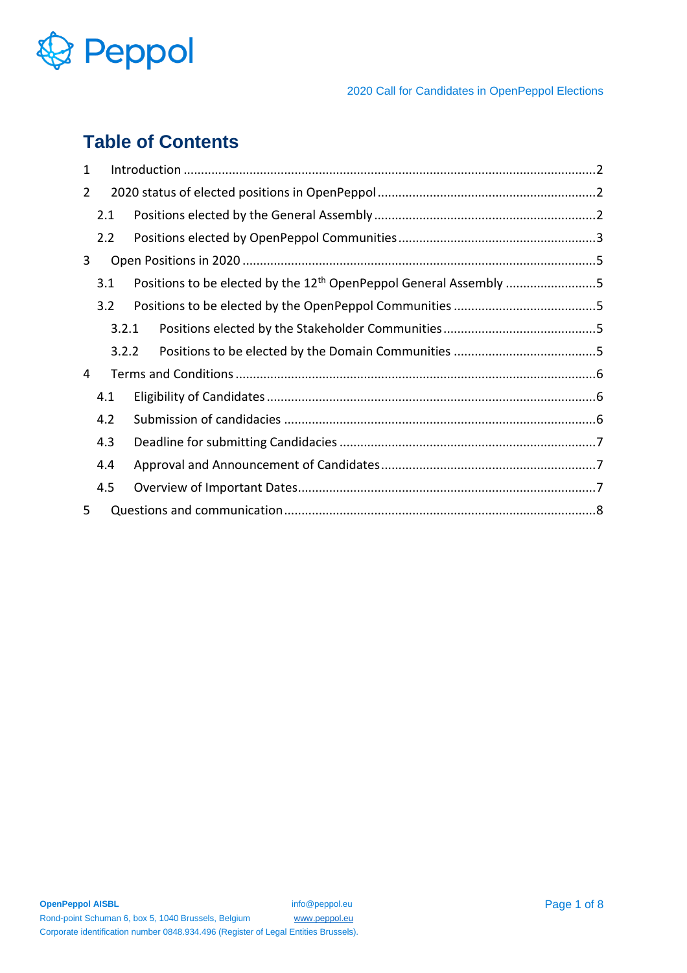

# **Table of Contents**

| 1 |       |                                                                               |  |  |  |  |  |  |
|---|-------|-------------------------------------------------------------------------------|--|--|--|--|--|--|
| 2 |       |                                                                               |  |  |  |  |  |  |
|   | 2.1   |                                                                               |  |  |  |  |  |  |
|   | 2.2   |                                                                               |  |  |  |  |  |  |
| 3 |       |                                                                               |  |  |  |  |  |  |
|   | 3.1   | Positions to be elected by the 12 <sup>th</sup> OpenPeppol General Assembly 5 |  |  |  |  |  |  |
|   | 3.2   |                                                                               |  |  |  |  |  |  |
|   | 3.2.1 |                                                                               |  |  |  |  |  |  |
|   | 3.2.2 |                                                                               |  |  |  |  |  |  |
| 4 |       |                                                                               |  |  |  |  |  |  |
|   | 4.1   |                                                                               |  |  |  |  |  |  |
|   | 4.2   |                                                                               |  |  |  |  |  |  |
|   | 4.3   |                                                                               |  |  |  |  |  |  |
|   | 4.4   |                                                                               |  |  |  |  |  |  |
|   | 4.5   |                                                                               |  |  |  |  |  |  |
| 5 |       |                                                                               |  |  |  |  |  |  |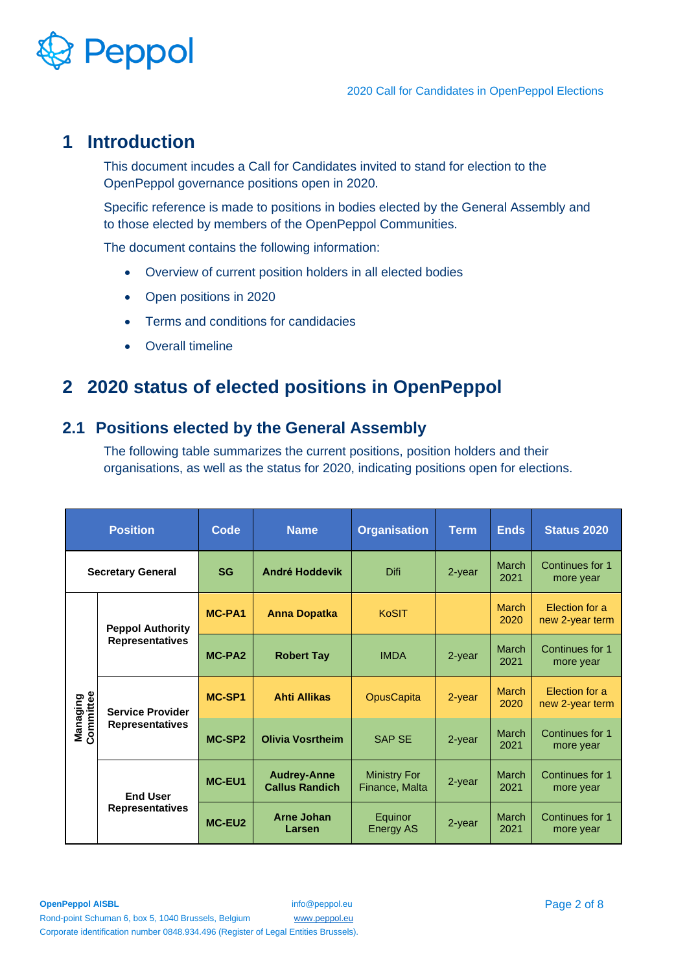

## <span id="page-2-0"></span>**1 Introduction**

This document incudes a Call for Candidates invited to stand for election to the OpenPeppol governance positions open in 2020.

Specific reference is made to positions in bodies elected by the General Assembly and to those elected by members of the OpenPeppol Communities.

The document contains the following information:

- Overview of current position holders in all elected bodies
- Open positions in 2020
- Terms and conditions for candidacies
- Overall timeline

## <span id="page-2-1"></span>**2 2020 status of elected positions in OpenPeppol**

## <span id="page-2-2"></span>**2.1 Positions elected by the General Assembly**

The following table summarizes the current positions, position holders and their organisations, as well as the status for 2020, indicating positions open for elections.

| <b>Position</b>              |                                                   | <b>Code</b>        | <b>Name</b>                                 | <b>Organisation</b>                   | <b>Term</b> | <b>Ends</b>          | <b>Status 2020</b>                |
|------------------------------|---------------------------------------------------|--------------------|---------------------------------------------|---------------------------------------|-------------|----------------------|-----------------------------------|
| <b>Secretary General</b>     |                                                   | <b>SG</b>          | <b>André Hoddevik</b>                       | Difi                                  | $2$ -year   | March<br>2021        | Continues for 1<br>more year      |
|                              | <b>Peppol Authority</b><br><b>Representatives</b> | <b>MC-PA1</b>      | <b>Anna Dopatka</b>                         | KoSIT                                 |             | <b>March</b><br>2020 | Election for a<br>new 2-year term |
|                              |                                                   | MC-PA2             | <b>Robert Tay</b>                           | <b>IMDA</b>                           | $2$ -year   | March<br>2021        | Continues for 1<br>more year      |
| <b>Managing</b><br>Committee | <b>Service Provider</b><br><b>Representatives</b> | MC-SP1             | <b>Ahti Allikas</b>                         | <b>OpusCapita</b>                     | $2$ -year   | <b>March</b><br>2020 | Election for a<br>new 2-year term |
|                              |                                                   | MC-SP <sub>2</sub> | <b>Olivia Vosrtheim</b>                     | <b>SAP SE</b>                         | $2$ -year   | March<br>2021        | Continues for 1<br>more year      |
|                              | <b>End User</b><br><b>Representatives</b>         | <b>MC-EU1</b>      | <b>Audrey-Anne</b><br><b>Callus Randich</b> | <b>Ministry For</b><br>Finance, Malta | 2-year      | March<br>2021        | Continues for 1<br>more year      |
|                              |                                                   | MC-EU2             | <b>Arne Johan</b><br>Larsen                 | Equinor<br><b>Energy AS</b>           | 2-year      | March<br>2021        | Continues for 1<br>more year      |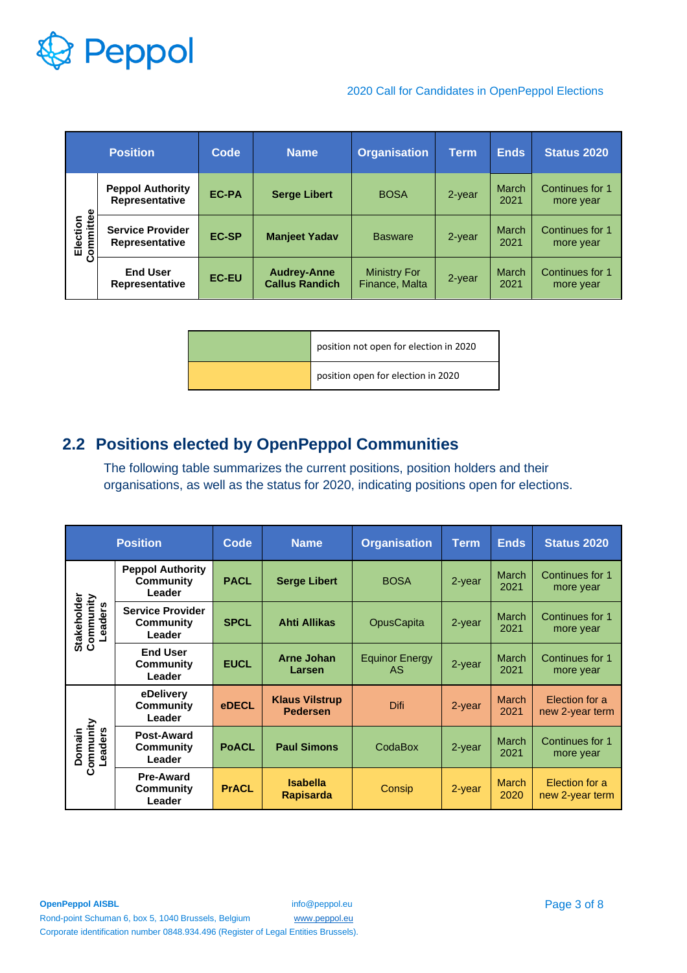

#### 2020 Call for Candidates in OpenPeppol Elections

| <b>Position</b>       |                                           | Code         | <b>Name</b>                                 | <b>Organisation</b>                   | <b>Term</b> | <b>Ends</b>   | <b>Status 2020</b>           |
|-----------------------|-------------------------------------------|--------------|---------------------------------------------|---------------------------------------|-------------|---------------|------------------------------|
| Election<br>Committee | <b>Peppol Authority</b><br>Representative | <b>EC-PA</b> | <b>Serge Libert</b>                         | <b>BOSA</b>                           | $2$ -year   | March<br>2021 | Continues for 1<br>more year |
|                       | <b>Service Provider</b><br>Representative | <b>EC-SP</b> | <b>Manjeet Yadav</b>                        | <b>Basware</b>                        | $2$ -year   | March<br>2021 | Continues for 1<br>more year |
|                       | <b>End User</b><br>Representative         | <b>EC-EU</b> | <b>Audrey-Anne</b><br><b>Callus Randich</b> | <b>Ministry For</b><br>Finance, Malta | 2-year      | March<br>2021 | Continues for 1<br>more year |

| position not open for election in 2020 |
|----------------------------------------|
| position open for election in 2020     |

# <span id="page-3-0"></span>**2.2 Positions elected by OpenPeppol Communities**

The following table summarizes the current positions, position holders and their organisations, as well as the status for 2020, indicating positions open for elections.

| <b>Position</b>                     |                                                       | Code         | <b>Name</b>                              | <b>Organisation</b>         | <b>Term</b> | <b>Ends</b>          | <b>Status 2020</b>                |
|-------------------------------------|-------------------------------------------------------|--------------|------------------------------------------|-----------------------------|-------------|----------------------|-----------------------------------|
|                                     | <b>Peppol Authority</b><br>Community<br>Leader        | <b>PACL</b>  | <b>Serge Libert</b>                      | <b>BOSA</b>                 | 2-year      | <b>March</b><br>2021 | Continues for 1<br>more year      |
| Stakeholder<br>Community<br>Leaders | <b>Service Provider</b><br><b>Community</b><br>Leader | <b>SPCL</b>  | <b>Ahti Allikas</b>                      | <b>OpusCapita</b>           | 2-year      | March<br>2021        | Continues for 1<br>more year      |
|                                     | <b>End User</b><br>Community<br>Leader                | <b>EUCL</b>  | <b>Arne Johan</b><br>Larsen              | <b>Equinor Energy</b><br>AS | 2-year      | <b>March</b><br>2021 | Continues for 1<br>more year      |
|                                     | eDelivery<br>Community<br>Leader                      | eDECL        | <b>Klaus Vilstrup</b><br><b>Pedersen</b> | <b>Difi</b>                 | 2-year      | <b>March</b><br>2021 | Election for a<br>new 2-year term |
| Community<br>Leaders<br>Domain      | Post-Award<br>Community<br>Leader                     | <b>PoACL</b> | <b>Paul Simons</b>                       | CodaBox                     | 2-year      | <b>March</b><br>2021 | Continues for 1<br>more year      |
|                                     | <b>Pre-Award</b><br><b>Community</b><br>Leader        | <b>PrACL</b> | <b>Isabella</b><br><b>Rapisarda</b>      | Consip                      | 2-year      | <b>March</b><br>2020 | Election for a<br>new 2-year term |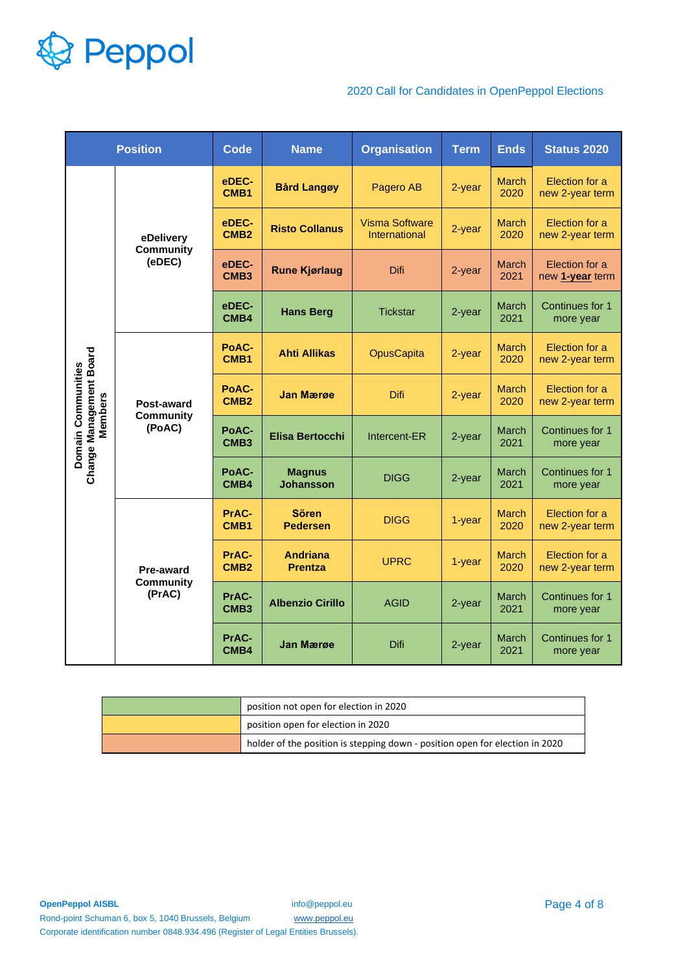

#### 2020 Call for Candidates in OpenPeppol Elections

| <b>Position</b>                                                 |                                                | <b>Code</b>               | <b>Name</b>                       | <b>Organisation</b>                           | <b>Term</b> | <b>Ends</b>          | <b>Status 2020</b>                |
|-----------------------------------------------------------------|------------------------------------------------|---------------------------|-----------------------------------|-----------------------------------------------|-------------|----------------------|-----------------------------------|
|                                                                 | eDelivery<br><b>Community</b><br>(eDEC)        | eDEC-<br>CMB <sub>1</sub> | <b>Bård Langøy</b>                | Pagero AB                                     | 2-year      | <b>March</b><br>2020 | Election for a<br>new 2-year term |
|                                                                 |                                                | eDEC-<br>CMB <sub>2</sub> | <b>Risto Collanus</b>             | <b>Visma Software</b><br><b>International</b> | 2-year      | <b>March</b><br>2020 | Election for a<br>new 2-year term |
|                                                                 |                                                | eDEC-<br>CMB <sub>3</sub> | <b>Rune Kjørlaug</b>              | Difi                                          | $2$ -year   | March<br>2021        | Election for a<br>new 1-year term |
|                                                                 |                                                | eDEC-<br>CMB4             | <b>Hans Berg</b>                  | <b>Tickstar</b>                               | 2-year      | March<br>2021        | Continues for 1<br>more year      |
|                                                                 | Post-award<br><b>Community</b><br>(PoAC)       | PoAC-<br>CMB <sub>1</sub> | <b>Ahti Allikas</b>               | <b>OpusCapita</b>                             | 2-year      | <b>March</b><br>2020 | Election for a<br>new 2-year term |
| Change Management Board<br>Domain Communities<br><b>Members</b> |                                                | PoAC-<br>CMB <sub>2</sub> | <b>Jan Mærøe</b>                  | Difi                                          | 2-year      | <b>March</b><br>2020 | Election for a<br>new 2-year term |
|                                                                 |                                                | PoAC-<br>CMB <sub>3</sub> | <b>Elisa Bertocchi</b>            | Intercent-ER                                  | 2-year      | March<br>2021        | Continues for 1<br>more year      |
|                                                                 |                                                | PoAC-<br>CMB4             | <b>Magnus</b><br><b>Johansson</b> | <b>DIGG</b>                                   | 2-year      | March<br>2021        | Continues for 1<br>more year      |
|                                                                 | <b>Pre-award</b><br><b>Community</b><br>(PrAC) | PrAC-<br>CMB1             | <b>Sören</b><br><b>Pedersen</b>   | <b>DIGG</b>                                   | 1-year      | <b>March</b><br>2020 | Election for a<br>new 2-year term |
|                                                                 |                                                | PrAC-<br>CMB <sub>2</sub> | <b>Andriana</b><br><b>Prentza</b> | <b>UPRC</b>                                   | 1-year      | <b>March</b><br>2020 | Election for a<br>new 2-year term |
|                                                                 |                                                | PrAC-<br>CMB <sub>3</sub> | <b>Albenzio Cirillo</b>           | <b>AGID</b>                                   | 2-year      | March<br>2021        | Continues for 1<br>more year      |
|                                                                 |                                                | PrAC-<br>CMB4             | <b>Jan Mærøe</b>                  | Difi                                          | 2-year      | March<br>2021        | Continues for 1<br>more year      |

| position not open for election in 2020                                       |
|------------------------------------------------------------------------------|
| position open for election in 2020                                           |
| holder of the position is stepping down - position open for election in 2020 |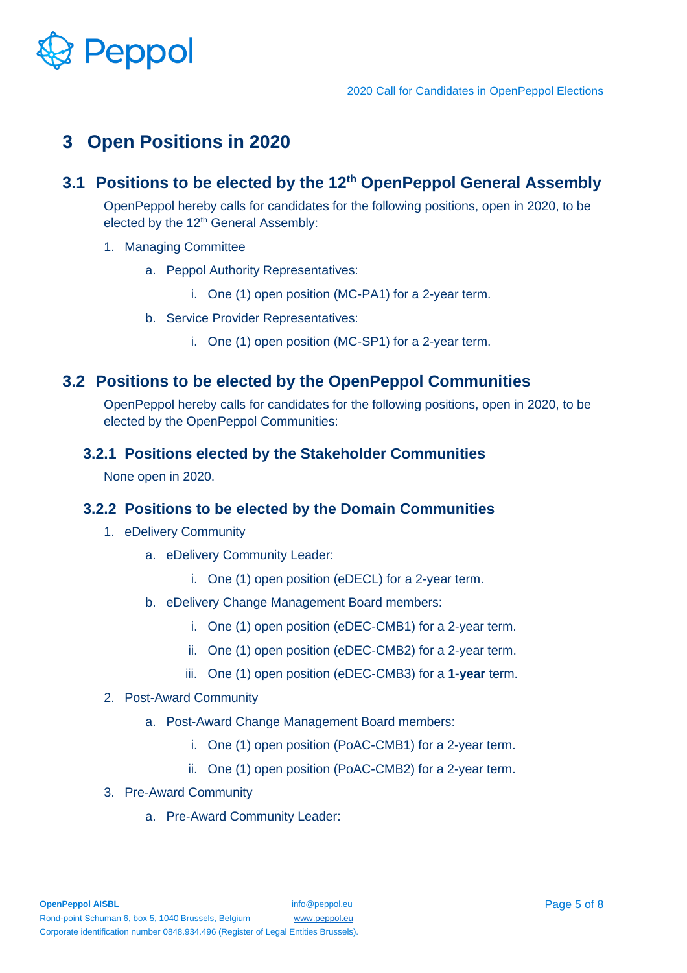

# <span id="page-5-0"></span>**3 Open Positions in 2020**

## <span id="page-5-1"></span>**3.1 Positions to be elected by the 12th OpenPeppol General Assembly**

OpenPeppol hereby calls for candidates for the following positions, open in 2020, to be elected by the 12<sup>th</sup> General Assembly:

- 1. Managing Committee
	- a. Peppol Authority Representatives:
		- i. One (1) open position (MC-PA1) for a 2-year term.
	- b. Service Provider Representatives:
		- i. One (1) open position (MC-SP1) for a 2-year term.

#### <span id="page-5-2"></span>**3.2 Positions to be elected by the OpenPeppol Communities**

OpenPeppol hereby calls for candidates for the following positions, open in 2020, to be elected by the OpenPeppol Communities:

#### <span id="page-5-3"></span>**3.2.1 Positions elected by the Stakeholder Communities**

None open in 2020.

#### <span id="page-5-4"></span>**3.2.2 Positions to be elected by the Domain Communities**

- 1. eDelivery Community
	- a. eDelivery Community Leader:
		- i. One (1) open position (eDECL) for a 2-year term.
	- b. eDelivery Change Management Board members:
		- i. One (1) open position (eDEC-CMB1) for a 2-year term.
		- ii. One (1) open position (eDEC-CMB2) for a 2-year term.
		- iii. One (1) open position (eDEC-CMB3) for a **1-year** term.
- 2. Post-Award Community
	- a. Post-Award Change Management Board members:
		- i. One (1) open position (PoAC-CMB1) for a 2-year term.
		- ii. One (1) open position (PoAC-CMB2) for a 2-year term.
- 3. Pre-Award Community
	- a. Pre-Award Community Leader: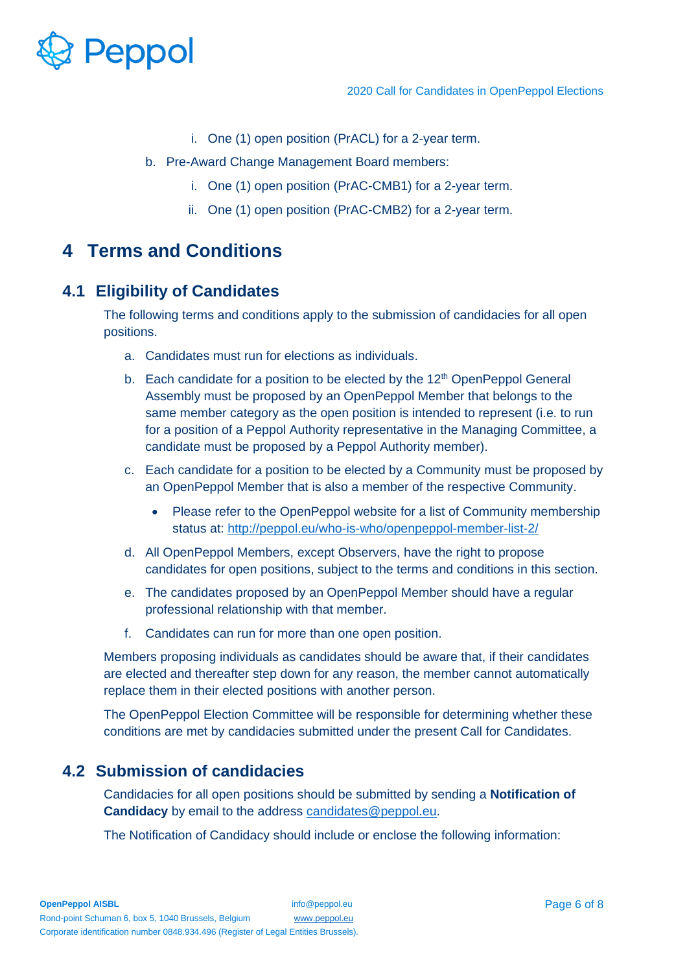

- i. One (1) open position (PrACL) for a 2-year term.
- b. Pre-Award Change Management Board members:
	- i. One (1) open position (PrAC-CMB1) for a 2-year term.
	- ii. One (1) open position (PrAC-CMB2) for a 2-year term.

## <span id="page-6-0"></span>**4 Terms and Conditions**

## <span id="page-6-1"></span>**4.1 Eligibility of Candidates**

The following terms and conditions apply to the submission of candidacies for all open positions.

- a. Candidates must run for elections as individuals.
- b. Each candidate for a position to be elected by the  $12<sup>th</sup>$  OpenPeppol General Assembly must be proposed by an OpenPeppol Member that belongs to the same member category as the open position is intended to represent (i.e. to run for a position of a Peppol Authority representative in the Managing Committee, a candidate must be proposed by a Peppol Authority member).
- c. Each candidate for a position to be elected by a Community must be proposed by an OpenPeppol Member that is also a member of the respective Community.
	- Please refer to the OpenPeppol website for a list of Community membership status at:<http://peppol.eu/who-is-who/openpeppol-member-list-2/>
- d. All OpenPeppol Members, except Observers, have the right to propose candidates for open positions, subject to the terms and conditions in this section.
- e. The candidates proposed by an OpenPeppol Member should have a regular professional relationship with that member.
- f. Candidates can run for more than one open position.

Members proposing individuals as candidates should be aware that, if their candidates are elected and thereafter step down for any reason, the member cannot automatically replace them in their elected positions with another person.

The OpenPeppol Election Committee will be responsible for determining whether these conditions are met by candidacies submitted under the present Call for Candidates.

## <span id="page-6-2"></span>**4.2 Submission of candidacies**

Candidacies for all open positions should be submitted by sending a **Notification of Candidacy** by email to the address [candidates@peppol.eu.](mailto:candidates@peppol.eu)

The Notification of Candidacy should include or enclose the following information: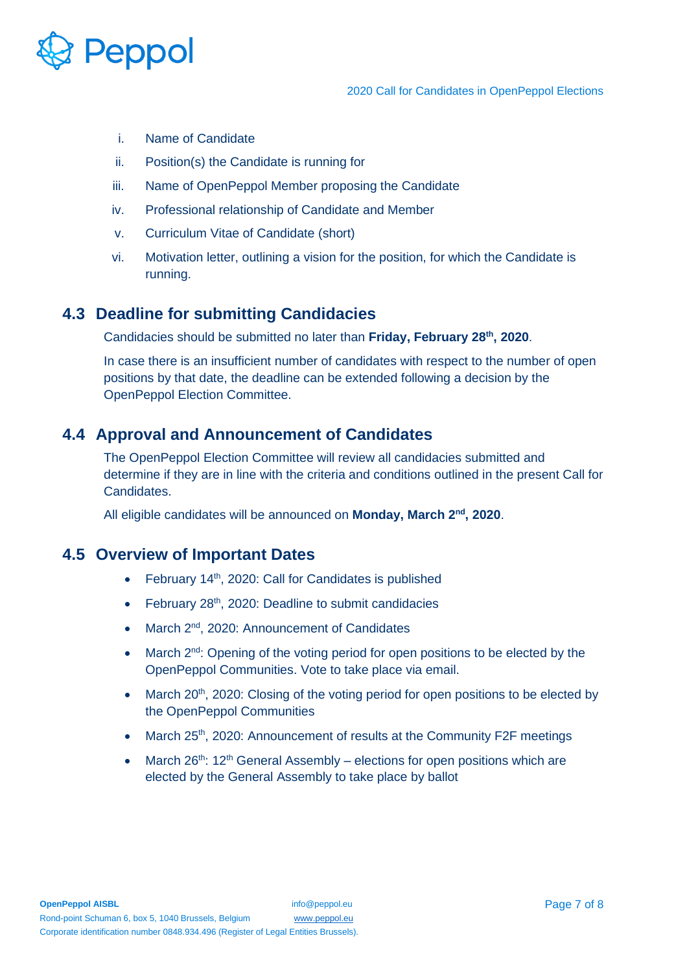

- i. Name of Candidate
- ii. Position(s) the Candidate is running for
- iii. Name of OpenPeppol Member proposing the Candidate
- iv. Professional relationship of Candidate and Member
- v. Curriculum Vitae of Candidate (short)
- vi. Motivation letter, outlining a vision for the position, for which the Candidate is running.

#### <span id="page-7-0"></span>**4.3 Deadline for submitting Candidacies**

Candidacies should be submitted no later than **Friday, February 28th , 2020**.

In case there is an insufficient number of candidates with respect to the number of open positions by that date, the deadline can be extended following a decision by the OpenPeppol Election Committee.

### <span id="page-7-1"></span>**4.4 Approval and Announcement of Candidates**

The OpenPeppol Election Committee will review all candidacies submitted and determine if they are in line with the criteria and conditions outlined in the present Call for Candidates.

All eligible candidates will be announced on **Monday, March 2nd, 2020**.

#### <span id="page-7-2"></span>**4.5 Overview of Important Dates**

- February  $14<sup>th</sup>$ , 2020: Call for Candidates is published
- February 28<sup>th</sup>, 2020: Deadline to submit candidacies
- March 2<sup>nd</sup>, 2020: Announcement of Candidates
- March 2<sup>nd</sup>: Opening of the voting period for open positions to be elected by the OpenPeppol Communities. Vote to take place via email.
- March 20<sup>th</sup>, 2020: Closing of the voting period for open positions to be elected by the OpenPeppol Communities
- March 25<sup>th</sup>, 2020: Announcement of results at the Community F2F meetings
- March  $26^{th}$ : 12<sup>th</sup> General Assembly elections for open positions which are elected by the General Assembly to take place by ballot